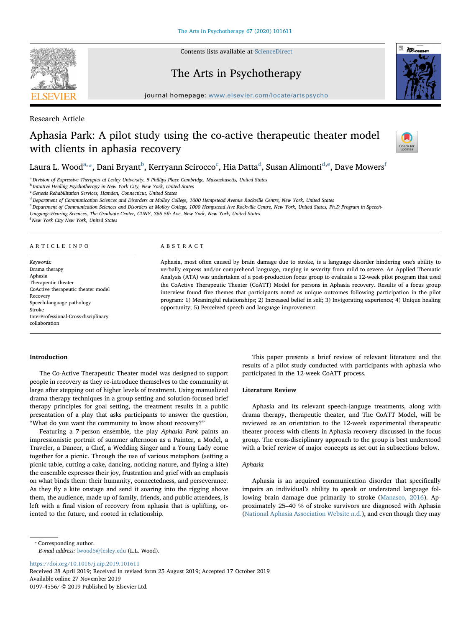

Contents lists available at [ScienceDirect](http://www.sciencedirect.com/science/journal/01974556)

# The Arts in Psychotherapy



journal home page: www.elsevier.com/locate/articles/articles/articles/articles/articles/articles/articles/articles/articles/articles/articles/articles/articles/articles/articles/articles/articles/articles/articles/article

Research Article

# Aphasia Park: A pilot study using the co-active therapeutic theater model with clients in aphasia recovery



# L[a](#page-0-0)ura L. Wood<sup>a,</sup>[\\*,](#page-0-1) Dani Bryant<sup>[b](#page-0-2)</sup>, Kerryann S[c](#page-0-3)irocco<sup>c</sup>, Hia Datta<sup>[d](#page-0-4)</sup>, Susan Alimonti<sup>[d,](#page-0-4)[e](#page-0-5)</sup>, Dave Mowers<sup>i</sup>

<span id="page-0-0"></span><sup>a</sup> Division of Expressive Therapies at Lesley University, 5 Phillips Place Cambridge, Massachusetts, United States

<span id="page-0-2"></span>**b** Intuitive Healing Psychotherapy in New York City, New York, United States

<span id="page-0-3"></span> $c$  Genesis Rehabilitation Services, Hamden, Connecticut, United States

<span id="page-0-4"></span><sup>d</sup> Department of Communication Sciences and Disorders at Molloy College, 1000 Hempstead Avenue Rockville Centre, New York, United States

<span id="page-0-5"></span><sup>e</sup> Department of Communication Sciences and Disorders at Molloy College, 1000 Hempstead Ave Rockville Centre, New York, United States, Ph.D Program in Speech-

Language-Hearing Sciences, The Graduate Center, CUNY, 365 5th Ave, New York, New York, United States

<span id="page-0-6"></span>f New York City New York, United States

#### ARTICLE INFO

Keywords: Drama therapy Aphasia Therapeutic theater CoActive therapeutic theater model Recovery Speech-language pathology Stroke InterProfessional-Cross-disciplinary collaboration

#### ABSTRACT

Aphasia, most often caused by brain damage due to stroke, is a language disorder hindering one's ability to verbally express and/or comprehend language, ranging in severity from mild to severe. An Applied Thematic Analysis (ATA) was undertaken of a post-production focus group to evaluate a 12-week pilot program that used the CoActive Therapeutic Theater (CoATT) Model for persons in Aphasia recovery. Results of a focus group interview found five themes that participants noted as unique outcomes following participation in the pilot program: 1) Meaningful relationships; 2) Increased belief in self; 3) Invigorating experience; 4) Unique healing opportunity; 5) Perceived speech and language improvement.

# Introduction

The Co-Active Therapeutic Theater model was designed to support people in recovery as they re-introduce themselves to the community at large after stepping out of higher levels of treatment. Using manualized drama therapy techniques in a group setting and solution-focused brief therapy principles for goal setting, the treatment results in a public presentation of a play that asks participants to answer the question, "What do you want the community to know about recovery?"

Featuring a 7-person ensemble, the play Aphasia Park paints an impressionistic portrait of summer afternoon as a Painter, a Model, a Traveler, a Dancer, a Chef, a Wedding Singer and a Young Lady come together for a picnic. Through the use of various metaphors (setting a picnic table, cutting a cake, dancing, noticing nature, and flying a kite) the ensemble expresses their joy, frustration and grief with an emphasis on what binds them: their humanity, connectedness, and perseverance. As they fly a kite onstage and send it soaring into the rigging above them, the audience, made up of family, friends, and public attendees, is left with a final vision of recovery from aphasia that is uplifting, oriented to the future, and rooted in relationship.

This paper presents a brief review of relevant literature and the results of a pilot study conducted with participants with aphasia who participated in the 12-week CoATT process.

# Literature Review

Aphasia and its relevant speech-languge treatments, along with drama therapy, therapeutic theater, and The CoATT Model, will be reviewed as an orientation to the 12-week experimental therapeutic theater process with clients in Aphasia recovery discussed in the focus group. The cross-disciplinary approach to the group is best understood with a brief review of major concepts as set out in subsections below.

# Aphasia

Aphasia is an acquired communication disorder that specifically impairs an individual's ability to speak or understand language following brain damage due primarily to stroke [\(Manasco, 2016](#page-6-0)). Approximately 25–40 % of stroke survivors are diagnosed with Aphasia ([National Aphasia Association Website n.d.\)](#page-6-1), and even though they may

<span id="page-0-1"></span>⁎ Corresponding author. E-mail address: [lwood5@lesley.edu](mailto:lwood5@lesley.edu) (L.L. Wood).

<https://doi.org/10.1016/j.aip.2019.101611>

Received 28 April 2019; Received in revised form 25 August 2019; Accepted 17 October 2019 Available online 27 November 2019 0197-4556/ © 2019 Published by Elsevier Ltd.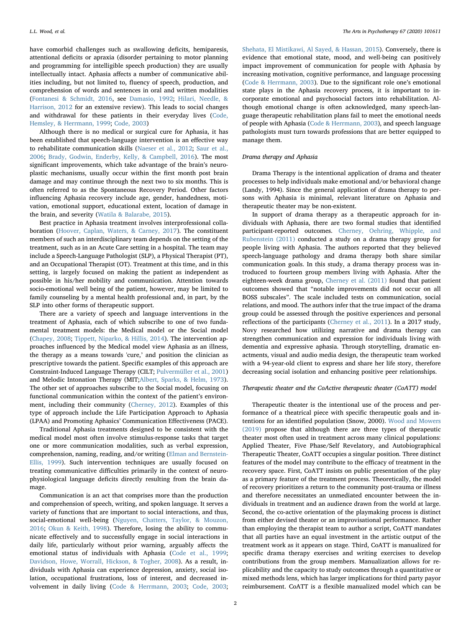have comorbid challenges such as swallowing deficits, hemiparesis, attentional deficits or apraxia (disorder pertaining to motor planning and programming for intelligible speech production) they are usually intellectually intact. Aphasia affects a number of communicative abilities including, but not limited to, fluency of speech, production, and comprehension of words and sentences in oral and written modalities ([Fontanesi & Schmidt, 2016](#page-6-2), see [Damasio, 1992;](#page-6-3) [Hilari, Needle, &](#page-6-4) [Harrison, 2012](#page-6-4) for an extensive review). This leads to social changes and withdrawal for these patients in their everyday lives ([Code,](#page-6-5) [Hemsley, & Herrmann, 1999;](#page-6-5) [Code, 2003](#page-6-6))

Although there is no medical or surgical cure for Aphasia, it has been established that speech-language intervention is an effective way to rehabilitate communication skills [\(Naeser et al., 2012](#page-6-7); [Saur et al.,](#page-6-8) [2006;](#page-6-8) [Brady, Godwin, Enderby, Kelly, & Campbell, 2016](#page-6-9)). The most significant improvements, which take advantage of the brain's neuroplastic mechanisms, usually occur within the first month post brain damage and may continue through the next two to six months. This is often referred to as the Spontaneous Recovery Period. Other factors influencing Aphasia recovery include age, gender, handedness, motivation, emotional support, educational extent, location of damage in the brain, and severity ([Watila & Balarabe, 2015](#page-6-10)).

Best practice in Aphasia treatment involves interprofessional collaboration [\(Hoover, Caplan, Waters, & Carney, 2017\)](#page-6-11). The constituent members of such an interdisciplinary team depends on the setting of the treatment, such as in an Acute Care setting in a hospital. The team may include a Speech-Language Pathologist (SLP), a Physical Therapist (PT), and an Occupational Therapist (OT). Treatment at this time, and in this setting, is largely focused on making the patient as independent as possible in his/her mobility and communication. Attention towards socio-emotional well being of the patient, however, may be limited to family counseling by a mental health professional and, in part, by the SLP into other forms of therapeutic support.

There are a variety of speech and language interventions in the treatment of Aphasia, each of which subscribe to one of two fundamental treatment models: the Medical model or the Social model ([Chapey, 2008;](#page-6-12) [Tippett, Niparko, & Hillis, 2014\)](#page-6-13). The intervention approaches influenced by the Medical model view Aphasia as an illness, the therapy as a means towards 'cure,' and position the clinician as prescriptive towards the patient. Specific examples of this approach are Constraint-Induced Language Therapy (CILT; [Pulvermüller et al., 2001\)](#page-6-14) and Melodic Intonation Therapy (MIT;[Albert, Sparks, & Helm, 1973](#page-6-15)). The other set of approaches subscribe to the Social model, focusing on functional communication within the context of the patient's environment, including their community ([Cherney, 2012\)](#page-6-16). Examples of this type of approach include the Life Participation Approach to Aphasia (LPAA) and Promoting Aphasics' Communication Effectiveness (PACE).

Traditional Aphasia treatments designed to be consistent with the medical model most often involve stimulus-response tasks that target one or more communication modalities, such as verbal expression, comprehension, naming, reading, and/or writing ([Elman and Bernstein-](#page-6-17)[Ellis, 1999\)](#page-6-17). Such intervention techniques are usually focused on treating communicative difficulties primarily in the context of neurophysiological language deficits directly resulting from the brain damage.

Communication is an act that comprises more than the production and comprehension of speech, writing, and spoken language. It serves a variety of functions that are important to social interactions, and thus, social-emotional well-being ([Nguyen, Chatters, Taylor, & Mouzon,](#page-6-18) [2016;](#page-6-18) [Okun & Keith, 1998](#page-6-19)). Therefore, losing the ability to communicate effectively and to successfully engage in social interactions in daily life, particularly without prior warning, arguably affects the emotional status of individuals with Aphasia ([Code et al., 1999](#page-6-5); [Davidson, Howe, Worrall, Hickson, & Togher, 2008\)](#page-6-20). As a result, individuals with Aphasia can experience depression, anxiety, social isolation, occupational frustrations, loss of interest, and decreased involvement in daily living ([Code & Herrmann, 2003](#page-6-21); [Code, 2003](#page-6-6); [Shehata, El Mistikawi, Al Sayed, & Hassan, 2015](#page-6-22)). Conversely, there is evidence that emotional state, mood, and well-being can positively impact improvement of communication for people with Aphasia by increasing motivation, cognitive performance, and language processing ([Code & Herrmann, 2003](#page-6-21)). Due to the significant role one's emotional state plays in the Aphasia recovery process, it is important to incorporate emotional and psychosocial factors into rehabilitation. Although emotional change is often acknowledged, many speech-language therapeutic rehabilitation plans fail to meet the emotional needs of people with Aphasia [\(Code & Herrmann, 2003\)](#page-6-21), and speech language pathologists must turn towards professions that are better equipped to manage them.

# Drama therapy and Aphasia

Drama Therapy is the intentional application of drama and theater processes to help individuals make emotional and/or behavioral change (Landy, 1994). Since the general application of drama therapy to persons with Aphasia is minimal, relevant literature on Aphasia and therapeutic theater may be non-existent.

In support of drama therapy as a therapeutic approach for individuals with Aphasia, there are two formal studies that identified participant-reported outcomes. [Cherney, Oehring, Whipple, and](#page-6-23) [Rubenstein \(2011\)](#page-6-23) conducted a study on a drama therapy group for people living with Aphasia. The authors reported that they believed speech-language pathology and drama therapy both share similar communication goals. In this study, a drama therapy process was introduced to fourteen group members living with Aphasia. After the eighteen-week drama group, [Cherney et al. \(2011\)](#page-6-23) found that patient outcomes showed that "notable improvements did not occur on all BOSS subscales". The scale included tests on communication, social relations, and mood. The authors infer that the true impact of the drama group could be assessed through the positive experiences and personal reflections of the participants ([Cherney et al., 2011\)](#page-6-23). In a 2017 study, Novy researched how utilizing narrative and drama therapy can strengthen communication and expression for individuals living with dementia and expressive aphasia. Through storytelling, dramatic enactments, visual and audio media design, the therapeutic team worked with a 94-year-old client to express and share her life story, therefore decreasing social isolation and enhancing positive peer relationships.

#### Therapeutic theater and the CoActive therapeutic theater (CoATT) model

Therapeutic theater is the intentional use of the process and performance of a theatrical piece with specific therapeutic goals and intentions for an identified population (Snow, 2000). [Wood and Mowers](#page-6-24) [\(2019\)](#page-6-24) propose that although there are three types of therapeutic theater most often used in treatment across many clinical populations: Applied Theater, Five Phase/Self Revelatory, and Autobiographical Therapeutic Theater, CoATT occupies a singular position. Three distinct features of the model may contribute to the efficacy of treatment in the recovery space. First, CoATT insists on public presentation of the play as a primary feature of the treatment process. Theoretically, the model of recovery prioritizes a return to the community post-trauma or illness and therefore necessitates an unmediated encounter between the individuals in treatment and an audience drawn from the world at large. Second, the co-active orientation of the playmaking process is distinct from either devised theater or an improvisational performance. Rather than employing the therapist team to author a script, CoATT mandates that all parties have an equal investment in the artistic output of the treatment work as it appears on stage. Third, CoATT is manualized for specific drama therapy exercises and writing exercises to develop contributions from the group members. Manualization allows for replicability and the capacity to study outcomes through a quantitative or mixed methods lens, which has larger implications for third party payor reimbursement. CoATT is a flexible manualized model which can be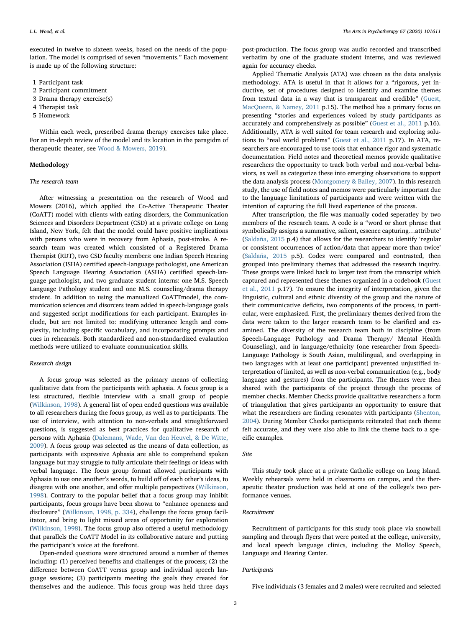executed in twelve to sixteen weeks, based on the needs of the population. The model is comprised of seven "movements." Each movement is made up of the following structure:

- 1 Participant task
- 2 Participant commitment
- 3 Drama therapy exercise(s)
- 4 Therapist task
- 5 Homework

Within each week, prescribed drama therapy exercises take place. For an in-depth review of the model and its location in the paragidm of therapeutic theater, see [Wood & Mowers, 2019\)](#page-6-24).

# Methodology

# The research team

After witnessing a presentation on the research of Wood and Mowers (2016), which applied the Co-Active Therapeutic Theater (CoATT) model with clients with eating disorders, the Communication Sciences and Disorders Department (CSD) at a private college on Long Island, New York, felt that the model could have positive implications with persons who were in recovery from Aphasia, post-stroke. A research team was created which consisted of a Registered Drama Therapist (RDT), two CSD faculty members: one Indian Speech Hearing Association (ISHA) certified speech-language pathologist, one American Speech Language Hearing Association (ASHA) certified speech-language pathologist, and two graduate student interns: one M.S. Speech Language Pathology student and one M.S. counseling/drama therapy student. In addition to using the manualized CoATTmodel, the communication sciences and disorcers team added in speech-language goals and suggested script modifications for each participant. Examples include, but are not limited to: modifying utterance length and complexity, including specific vocabulary, and incorporating prompts and cues in rehearsals. Both standardized and non-standardized evalaution methods were utilized to evaluate communication skills.

# Research design

A focus group was selected as the primary means of collecting qualitative data from the participants with aphasia. A focus group is a less structured, flexible interview with a small group of people ([Wilkinson, 1998](#page-6-25)). A general list of open ended questions was available to all researchers during the focus group, as well as to participants. The use of interview, with attention to non-verbals and straightforward questions, is suggested as best practices for qualitative research of persons with Aphasia ([Dalemans, Wade, Van den Heuvel, & De Witte,](#page-6-26) [2009\)](#page-6-26). A focus group was selected as the means of data collection, as participants with expressive Aphasia are able to comprehend spoken language but may struggle to fully articulate their feelings or ideas with verbal language. The focus group format allowed participants with Aphasia to use one another's words, to build off of each other's ideas, to disagree with one another, and offer multiple perspectives [\(Wilkinson,](#page-6-25) [1998\)](#page-6-25). Contrary to the popular belief that a focus group may inhibit participants, focus groups have been shown to "enhance openness and disclosure" [\(Wilkinson, 1998, p. 334](#page-6-25)), challenge the focus group facilitator, and bring to light missed areas of opportunity for exploration ([Wilkinson, 1998\)](#page-6-25). The focus group also offered a useful methodology that parallels the CoATT Model in its collaborative nature and putting the participant's voice at the forefront.

Open-ended questions were structured around a number of themes including: (1) perceived benefits and challenges of the process; (2) the difference between CoATT versus group and individual speech language sessions; (3) participants meeting the goals they created for themselves and the audience. This focus group was held three days

post-production. The focus group was audio recorded and transcribed verbatim by one of the graduate student interns, and was reviewed again for accuracy checks.

Applied Thematic Analysis (ATA) was chosen as the data analysis methodology. ATA is useful in that it allows for a "rigorous, yet inductive, set of procedures designed to identify and examine themes from textual data in a way that is transparent and credible" ([Guest,](#page-6-27) [MacQueen, & Namey, 2011](#page-6-27) p.15). The method has a primary focus on presenting "stories and experiences voiced by study participants as accurately and comprehensively as possible" ([Guest et al., 2011](#page-6-27) p.16). Additionally, ATA is well suited for team research and exploring solutions to "real world problems" ([Guest et al., 2011](#page-6-27) p.17). In ATA, researchers are encouraged to use tools that enhance rigor and systematic documentation. Field notes and theoretical memos provide qualitative researchers the opportunity to track both verbal and non-verbal behaviors, as well as categorize these into emerging observations to support the data analysis process [\(Montgomery & Bailey, 2007\)](#page-6-28). In this research study, the use of field notes and memos were particularly important due to the language limitations of participants and were written with the intention of capturing the full lived experience of the process.

After transcription, the file was manually coded seperatley by two members of the research team. A code is a "word or short phrase that symbolically assigns a summative, salient, essence capturing…attribute' ([Saldaña, 2015](#page-6-29) p.4) that allows for the researchers to identify 'regular or consistent occurrences of action/data that appear more than twice' ([Saldaña, 2015](#page-6-29) p.5). Codes were compared and contrasted, then grouped into preliminary themes that addressed the research inquiry. These groups were linked back to larger text from the transcript which captured and represented these themes organized in a codebook ([Guest](#page-6-27) [et al., 2011](#page-6-27) p.17). To ensure the integrity of interpretation, given the linguistic, cultural and ethnic diversity of the group and the nature of their communicative deficits, two components of the process, in particular, were emphasized. First, the preliminary themes derived from the data were taken to the larger research team to be clarified and examined. The diversity of the research team both in discipline (from Speech-Language Pathology and Drama Therapy/ Mental Health Counseling), and in language/ethnicity (one researcher from Speech-Language Pathology is South Asian, multilingual, and overlapping in two languages with at least one participant) prevented unjustified interpretation of limited, as well as non-verbal communication (e.g., body language and gestures) from the participants. The themes were then shared with the participants of the project through the process of member checks. Member Checks provide qualitative researchers a form of triangulation that gives participants an opportunity to ensure that what the researchers are finding resonates with participants ([Shenton,](#page-6-30) [2004\)](#page-6-30). During Member Checks participants reiterated that each theme felt accurate, and they were also able to link the theme back to a specific examples.

#### Site

This study took place at a private Catholic college on Long Island. Weekly rehearsals were held in classrooms on campus, and the therapeutic theater production was held at one of the college's two performance venues.

# Recruitment

Recruitment of participants for this study took place via snowball sampling and through flyers that were posted at the college, university, and local speech language clinics, including the Molloy Speech, Language and Hearing Center.

#### Participants

Five individuals (3 females and 2 males) were recruited and selected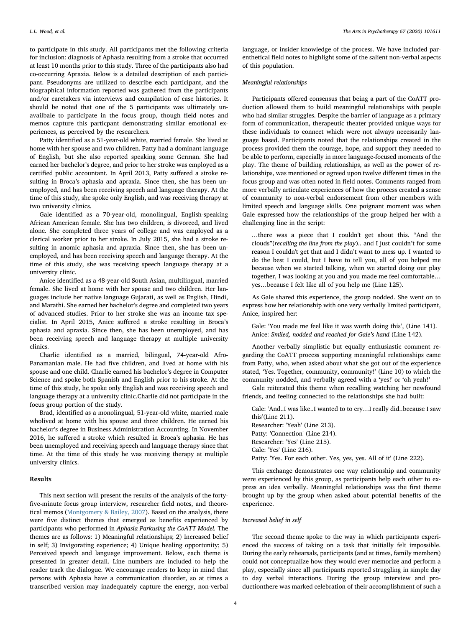to participate in this study. All participants met the following criteria for inclusion: diagnosis of Aphasia resulting from a stroke that occurred at least 10 months prior to this study. Three of the participants also had co-occurring Apraxia. Below is a detailed description of each participant. Pseudonyms are utilized to describe each participant, and the biographical information reported was gathered from the participants and/or caretakers via interviews and compilation of case histories. It should be noted that one of the 5 participants was ultimately unavailbale to participate in the focus group, though field notes and memos capture this particpant demonstrating similar emotional experiences, as perceived by the researchers.

Patty identified as a 51-year-old white, married female. She lived at home with her spouse and two children. Patty had a dominant language of English, but she also reported speaking some German. She had earned her bachelor's degree, and prior to her stroke was employed as a certified public accountant. In April 2013, Patty suffered a stroke resulting in Broca's aphasia and apraxia. Since then, she has been unemployed, and has been receiving speech and language therapy. At the time of this study, she spoke only English, and was receiving therapy at two university clinics.

Gale identified as a 70-year-old, monolingual, English-speaking African American female. She has two children, is divorced, and lived alone. She completed three years of college and was employed as a clerical worker prior to her stroke. In July 2015, she had a stroke resulting in anomic aphasia and apraxia. Since then, she has been unemployed, and has been receiving speech and language therapy. At the time of this study, she was receiving speech language therapy at a university clinic.

Anice identified as a 48-year-old South Asian, multilingual, married female. She lived at home with her spouse and two children. Her languages include her native language Gujarati, as well as English, Hindi, and Marathi. She earned her bachelor's degree and completed two years of advanced studies. Prior to her stroke she was an income tax specialist. In April 2015, Anice suffered a stroke resulting in Broca's aphasia and apraxia. Since then, she has been unemployed, and has been receiving speech and language therapy at multiple university clinics.

Charlie identified as a married, bilingual, 74-year-old Afro-Panamanian male. He had five children, and lived at home with his spouse and one child. Charlie earned his bachelor's degree in Computer Science and spoke both Spanish and English prior to his stroke. At the time of this study, he spoke only English and was receiving speech and language therapy at a university clinic.Charlie did not participate in the focus group portion of the study.

Brad, identified as a monolingual, 51-year-old white, married male wholived at home with his spouse and three children. He earned his bachelor's degree in Business Administration Accounting. In November 2016, he suffered a stroke which resulted in Broca's aphasia. He has been unemployed and receiving speech and language therapy since that time. At the time of this study he was receiving therapy at multiple university clinics.

### Results

This next section will present the results of the analysis of the fortyfive-minute focus group interview, researcher field notes, and theoretical memos [\(Montgomery & Bailey, 2007\)](#page-6-28). Based on the analysis, there were five distinct themes that emerged as benefits experienced by participants who performed in Aphasia Parkusing the CoATT Model. The themes are as follows: 1) Meaningful relationships; 2) Increased belief in self; 3) Invigorating experience; 4) Unique healing opportunity; 5) Perceived speech and language improvement. Below, each theme is presented in greater detail. Line numbers are included to help the reader track the dialogue. We encourage readers to keep in mind that persons with Aphasia have a communication disorder, so at times a transcribed version may inadequately capture the energy, non-verbal language, or insider knowledge of the process. We have included parenthetical field notes to highlight some of the salient non-verbal aspects of this population.

#### Meaningful relationships

Participants offered consensus that being a part of the CoATT production allowed them to build meaningful relationships with people who had similar struggles. Despite the barrier of language as a primary form of communication, therapeutic theater provided unique ways for these individuals to connect which were not always necessarily language based. Participants noted that the relationships created in the process provided them the courage, hope, and support they needed to be able to perform, especially in more language-focused moments of the play. The theme of building relationships, as well as the power of relationships, was mentioned or agreed upon twelve different times in the focus group and was often noted in field notes. Comments ranged from more verbally articulate experiences of how the process created a sense of community to non-verbal endorsement from other members with limited speech and language skills. One poignant moment was when Gale expressed how the relationships of the group helped her with a challenging line in the script:

…there was a piece that I couldn't get about this. "And the clouds"(recalling the line from the play).. and I just couldn't for some reason I couldn't get that and I didn't want to mess up. I wanted to do the best I could, but I have to tell you, all of you helped me because when we started talking, when we started doing our play together, I was looking at you and you made me feel comfortable… yes…because I felt like all of you help me (Line 125).

As Gale shared this experience, the group nodded. She went on to express how her relationship with one very verbally limited participant, Anice, inspired her:

Gale: 'You made me feel like it was worth doing this', (Line 141). Anice: Smiled, nodded and reached for Gale's hand (Line 142).

Another verbally simplistic but equally enthusiastic comment regarding the CoATT process supporting meaningful relationships came from Patty, who, when asked about what she got out of the experience stated, 'Yes. Together, community, community!' (Line 10) to which the community nodded, and verbally agreed with a 'yes!' or 'oh yeah!'

Gale reiterated this theme when recalling watching her newfound friends, and feeling connected to the relationships she had built:

Gale: 'And..I was like..I wanted to to cry…I really did..because I saw this'(Line 211). Researcher: 'Yeah' (Line 213). Patty: 'Connection' (Line 214). Researcher: 'Yes' (Line 215). Gale: 'Yes' (Line 216).

Patty: 'Yes. For each other. Yes, yes, yes. All of it' (Line 222).

This exchange demonstrates one way relationship and community were experienced by this group, as participants help each other to express an idea verbally. Meaningful relationships was the first theme brought up by the group when asked about potential benefits of the experience.

# Increased belief in self

The second theme spoke to the way in which participants experienced the success of taking on a task that initially felt impossible. During the early rehearsals, participants (and at times, family members) could not conceptualize how they would ever memorize and perform a play, especially since all participants reported struggling in simple day to day verbal interactions. During the group interview and productionthere was marked celebration of their accomplishment of such a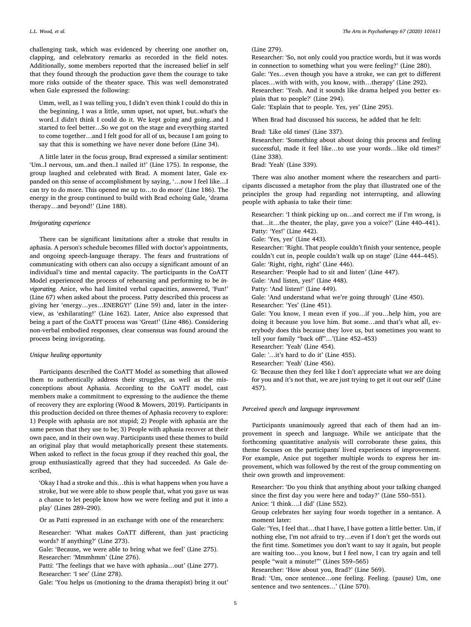challenging task, which was evidenced by cheering one another on, clapping, and celebratory remarks as recorded in the field notes. Additionally, some members reported that the increased belief in self that they found through the production gave them the courage to take more risks outside of the theater space. This was well demonstrated when Gale expressed the following:

Umm, well, as I was telling you, I didn't even think I could do this in the beginning, I was a little, umm upset, not upset, but..what's the word..I didn't think I could do it. We kept going and going..and I started to feel better…So we got on the stage and everything started to come together…and I felt good for all of us, because I am going to say that this is something we have never done before (Line 34).

A little later in the focus group, Brad expressed a similar sentiment: 'Um..I nervous, um..and then..I nailed it!' (Line 175). In response, the group laughed and celebrated with Brad. A moment later, Gale expanded on this sense of accomplishment by saying, '…now I feel like…I can try to do more. This opened me up to…to do more' (Line 186). The energy in the group continued to build with Brad echoing Gale, 'drama therapy…and beyond!' (Line 188).

#### Invigorating experience

There can be significant limitations after a stroke that results in aphasia. A person's schedule becomes filled with doctor's appointments, and ongoing speech-language therapy. The fears and frustrations of communicating with others can also occupy a significant amount of an individual's time and mental capacity. The participants in the CoATT Model experienced the process of rehearsing and performing to be invigorating. Anice, who had limited verbal capacities, answered, 'Fun!' (Line 67) when asked about the process. Patty described this process as giving her 'energy…yes…ENERGY!' (Line 59) and, later in the interview, as 'exhilarating!' (Line 162). Later, Anice also expressed that being a part of the CoATT process was 'Great!' (Line 486). Considering non-verbal embodied responses, clear consensus was found around the process being invigorating.

# Unique healing opportunity

Participants described the CoATT Model as something that allowed them to authentically address their struggles, as well as the misconceptions about Aphasia. According to the CoATT model, cast members make a commitment to expressing to the audience the theme of recovery they are exploring (Wood & Mowers, 2019). Participants in this production decided on three themes of Aphasia recovery to explore: 1) People with aphasia are not stupid; 2) People with aphasia are the same person that they use to be; 3) People with aphasia recover at their own pace, and in their own way. Participants used these themes to build an original play that would metaphorically present these statements. When asked to reflect in the focus group if they reached this goal, the group enthusiastically agreed that they had succeeded. As Gale described,

'Okay I had a stroke and this…this is what happens when you have a stroke, but we were able to show people that, what you gave us was a chance to let people know how we were feeling and put it into a play' (Lines 289–290).

Or as Patti expressed in an exchange with one of the researchers:

Researcher: 'What makes CoATT different, than just practicing words? If anything?' (Line 273).

Gale: 'Because, we were able to bring what we feel' (Line 275). Researcher: 'Mmmhmm' (Line 276).

Patti: 'The feelings that we have with aphasia…out' (Line 277). Researcher: 'I see' (Line 278).

Gale: 'You helps us (motioning to the drama therapist) bring it out'

#### (Line 279).

Researcher: 'So, not only could you practice words, but it was words in connection to something what you were feeling?' (Line 280). Gale: 'Yes…even though you have a stroke, we can get to different places…with with with, you know, with…therapy' (Line 292). Researcher: 'Yeah. And it sounds like drama helped you better explain that to people?' (Line 294).

Gale: 'Explain that to people. Yes, yes' (Line 295).

When Brad had discussed his success, he added that he felt:

Brad: 'Like old times' (Line 337).

Researcher: 'Something about about doing this process and feeling successful, made it feel like…to use your words…like old times?' (Line 338).

Brad: 'Yeah' (Line 339).

There was also another moment where the researchers and participants discussed a metaphor from the play that illustrated one of the principles the group had regarding not interrupting, and allowing people with aphasia to take their time:

Researcher: 'I think picking up on…and correct me if I'm wrong, is that…it…the theater, the play, gave you a voice?' (Line 440–441). Patty: 'Yes!' (Line 442).

Gale: 'Yes, yes' (Line 443).

Researcher: 'Right. That people couldn't finish your sentence, people couldn't cut in, people couldn't walk up on stage' (Line 444–445). Gale: 'Right, right, right' (Line 446).

Researcher: 'People had to sit and listen' (Line 447). Gale: 'And listen, yes!' (Line 448).

Patty: 'And listen!' (Line 449).

Gale: 'And understand what we're going through' (Line 450).

Researcher: 'Yes' (Line 451).

Gale: 'You know, I mean even if you…if you…help him, you are doing it because you love him. But some…and that's what all, everybody does this because they love us, but sometimes you want to tell your family "back off"…'(Line 452–453)

Researcher: 'Yeah' (Line 454).

Gale: '…it's hard to do it' (Line 455).

Researcher: 'Yeah' (Line 456).

G: 'Because then they feel like I don't appreciate what we are doing for you and it's not that, we are just trying to get it out our self' (Line 457).

# Perceived speech and language improvement

Participants unanimously agreed that each of them had an improvement in speech and language. While we anticipate that the forthcoming quantitative analysis will corroborate these gains, this theme focuses on the participants' lived experiences of improvement. For example, Anice put together multiple words to express her improvement, which was followed by the rest of the group commenting on their own growth and improvement:

Researcher: 'Do you think that anything about your talking changed since the first day you were here and today?' (Line 550–551). Anice: 'I think….I did' (Line 552).

Group celebrates her saying four words together in a sentance. A moment later:

Gale: 'Yes, I feel that…that I have, I have gotten a little better. Um, if nothing else, I'm not afraid to try…even if I don't get the words out the first time. Sometimes you don't want to say it again, but people are waiting too…you know, but I feel now, I can try again and tell people "wait a minute!"' (Lines 559–565)

Researcher: 'How about you, Brad?' (Line 569).

Brad: 'Um, once sentence…one feeling. Feeling. (pause) Um, one sentence and two sentences…' (Line 570).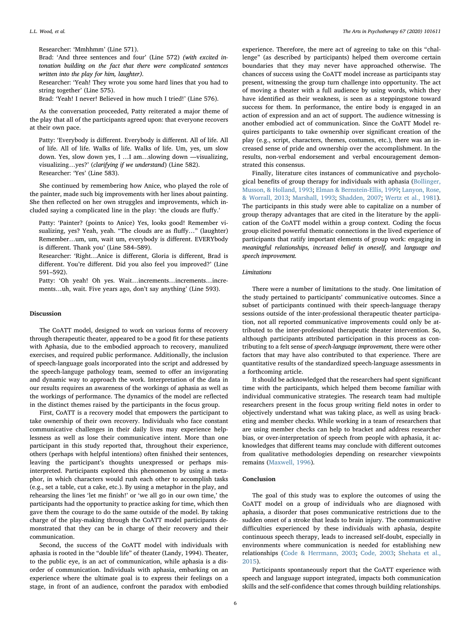Brad: 'And three sentences and four' (Line 572) (with excited intonation building on the fact that there were complicated sentences written into the play for him, laughter).

Researcher: 'Yeah! They wrote you some hard lines that you had to string together' (Line 575).

Brad: 'Yeah! I never! Believed in how much I tried!' (Line 576).

As the conversation proceeded, Patty reiterated a major theme of the play that all of the participants agreed upon: that everyone recovers at their own pace.

Patty: 'Everybody is different. Everybody is different. All of life. All of life. All of life. Walks of life. Walks of life. Um, yes, um slow down. Yes, slow down yes, I …I am…slowing down —visualizing, visualizing…yes?' (clarifying if we understand) (Line 582). Researcher: 'Yes' (Line 583).

She continued by remembering how Anice, who played the role of the painter, made such big improvements with her lines about painting. She then reflected on her own struggles and improvements, which included saying a complicated line in the play: 'the clouds are fluffy.'

Patty: 'Painter? (points to Anice) Yes, looks good! Remember visualizing, yes? Yeah, yeah. "The clouds are as fluffy…" (laughter) Remember…um, um, wait um, everybody is different. EVERYbody is different. Thank you' (Line 584–589).

Researcher: 'Right…Anice is different, Gloria is different, Brad is different. You're different. Did you also feel you improved?' (Line 591–592).

Patty: 'Oh yeah! Oh yes. Wait...increments...increments...increments…uh, wait. Five years ago, don't say anything' (Line 593).

# Discussion

The CoATT model, designed to work on various forms of recovery through therapeutic theater, appeared to be a good fit for these patients with Aphasia, due to the embodied approach to recovery, manulized exercises, and required public performance. Additionally, the inclusion of speech-language goals incorporated into the script and addressed by the speech-languge pathology team, seemed to offer an invigorating and dynamic way to approach the work. Interpretation of the data in our results requires an awareness of the workings of aphasia as well as the workings of performance. The dynamics of the model are reflected in the distinct themes raised by the participants in the focus group.

First, CoATT is a recovery model that empowers the participant to take ownership of their own recovery. Individuals who face constant communicative challenges in their daily lives may experience helplessness as well as lose their communicative intent. More than one participant in this study reported that, throughout their experience, others (perhaps with helpful intentions) often finished their sentences, leaving the participant's thoughts unexpressed or perhaps misinterpreted. Participants explored this phenomenon by using a metaphor, in which characters would rush each other to accomplish tasks (e.g., set a table, cut a cake, etc.). By using a metaphor in the play, and rehearsing the lines 'let me finish!' or 'we all go in our own time,' the participants had the opportunity to practice asking for time, which then gave them the courage to do the same outside of the model. By taking charge of the play-making through the CoATT model participants demonstrated that they can be in charge of their recovery and their communication.

Second, the success of the CoATT model with individuals with aphasia is rooted in the "double life" of theater (Landy, 1994). Theater, to the public eye, is an act of communication, while aphasia is a disorder of communication. Individuals with aphasia, embarking on an experience where the ultimate goal is to express their feelings on a stage, in front of an audience, confront the paradox with embodied

experience. Therefore, the mere act of agreeing to take on this "challenge" (as described by participants) helped them overcome certain boundaries that they may never have approached otherwise. The chances of success using the CoATT model increase as participants stay present, witnessing the group turn challenge into opportunity. The act of moving a theater with a full audience by using words, which they have identified as their weakness, is seen as a steppingstone toward success for them. In performance, the entire body is engaged in an action of expression and an act of support. The audience witnessing is another embodied act of communication. Since the CoATT Model requires participants to take ownership over significant creation of the play (e.g., script, characters, themes, costumes, etc.), there was an increased sense of pride and ownership over the accomplishment. In the results, non-verbal endorsement and verbal encouragement demonstrated this consensus.

Finally, literature cites instances of communicative and psychological benefits of group therapy for individuals with aphasia [\(Bollinger,](#page-6-31) [Musson, & Holland, 1993](#page-6-31); [Elman & Bernstein-Ellis, 1999](#page-6-17); [Lanyon, Rose,](#page-6-32) [& Worrall, 2013;](#page-6-32) [Marshall, 1993;](#page-6-33) [Shadden, 2007](#page-6-34); [Wertz et al., 1981](#page-6-35)). The participants in this study were able to capitalize on a number of group therapy advantages that are cited in the literature by the application of the CoATT model within a group context. Coding the focus group elicited powerful thematic connections in the lived experience of participants that ratify important elements of group work: engaging in meaningful relationships, increased belief in oneself, and language and speech improvement.

# Limitations

There were a number of limitations to the study. One limitation of the study pertained to participants' communicative outcomes. Since a subset of participants continued with their speech-language therapy sessions outside of the inter-professional therapeutic theater participation, not all reported communicative improvements could only be attributed to the inter-professional therapeutic theater intervention. So, although participants attributed participation in this process as contributing to a felt sense of speech-language improvement, there were other factors that may have also contributed to that experience. There are quantitative results of the standardized speech-language assessments in a forthcoming article.

It should be acknowledged that the researchers had spent significant time with the participants, which helped them become familiar with individual communicative strategies. The research team had multiple researchers present in the focus group writing field notes in order to objectively understand what was taking place, as well as using bracketing and member checks. While working in a team of researchers that are using member checks can help to bracket and address researcher bias, or over-interpretation of speech from people with aphasia, it acknowledges that different teams may conclude with different outcomes from qualitative methodologies depending on researcher viewpoints remains [\(Maxwell, 1996](#page-6-36)).

# Conclusion

The goal of this study was to explore the outcomes of using the CoATT model on a group of individuals who are diagnosed with aphasia, a disorder that poses communicative restrictions due to the sudden onset of a stroke that leads to brain injury. The communicative difficulties experienced by these individuals with aphasia, despite continuous speech therapy, leads to increased self-doubt, especially in environments where communication is needed for establishing new relationships ([Code & Herrmann, 2003](#page-6-21); [Code, 2003](#page-6-6); [Shehata et al.,](#page-6-22) [2015\)](#page-6-22).

Participants spontaneously report that the CoATT experience with speech and language support integrated, impacts both communication skills and the self-confidence that comes through building relationships.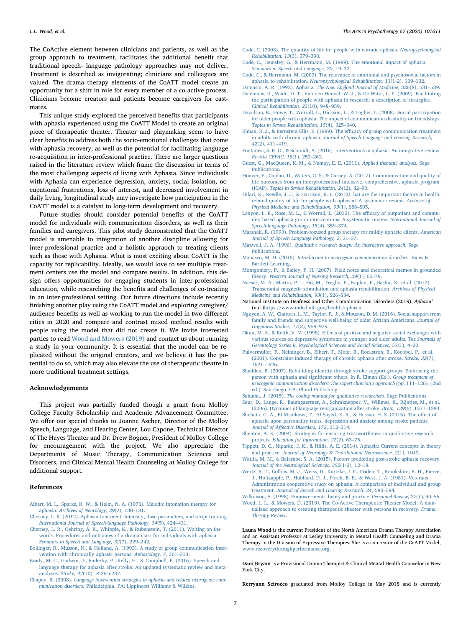The CoActive element between clinicians and patients, as well as the group approach to treatment, facilitates the additional benefit that traditional speech- language pathology approaches may not deliver. Treatment is described as invigorating; clinicians and colleagues are valued. The drama therapy elements of the CoATT model create an opportunity for a shift in role for every member of a co-active process. Clinicians become creators and patients become caregivers for castmates.

This unique study explored the perceived benefits that participants with aphasia experienced using the CoATT Model to create an original piece of therapeutic theater. Theater and playmaking seem to have clear benefits to address both the socio-emotional challenges that come with aphasia recovery, as well as the potential for facilitating language re-acquisition in inter-professional practice. There are larger questions raised in the literature review which frame the discussion in terms of the most challenging aspects of living with Aphasia. Since individuals with Aphasia can experience depression, anxiety, social isolation, occupational frustrations, loss of interest, and decreased involvement in daily living, longitudinal study may investigate how participation in the CoATT model is a catalyst to long-term development and recovery.

Future studies should consider potential benefits of the CoATT model for individuals with communication disorders, as well as their families and caregivers. This pilot study demonstrated that the CoATT model is amenable to integration of another discipline allowing for inter-professional practice and a holistic appraoch to treating clients such as those with Aphasia. What is most exciting about CoATT is the capacity for replicability. Ideally, we would love to see multiple treatment centers use the model and compare results. In addition, this design offers opportunities for engaging students in inter-professional education, while researching the benefits and challenges of co-treating in an inter-professional setting. Our future directions include recently finishing another play using the CoATT model and exploring caregiver/ audience benefits as well as working to run the model in two different cities in 2020 and compare and contrast mixed method results with people using the model that did not create it. We invite interested parties to read [Wood and Mowers \(2019\)](#page-6-24) and contact us about running a study in your community. It is essential that the model can be replicated without the original creators, and we believe it has the potential to do so, which may also elevate the use of therapeutic theatre in more traditional treatment settings.

#### Acknowledgements

This project was partially funded though a grant from Molloy College Faculty Scholarship and Academic Advancement Committee. We offer our special thanks to Joanne Ascher, Director of the Molloy Speech, Language, and Hearing Center, Lou Capone, Technical Director of The Hayes Theater and Dr. Drew Bogner, President of Molloy College for encouragement with the project. We also appreciate the Departments of Music Therapy, Communication Sciences and Disorders, and Clinical Mental Health Counseling at Molloy College for additional support.

# References

- <span id="page-6-15"></span>[Albert, M. L., Sparks, R. W., & Helm, N. A. \(1973\). Melodic intonation therapy for](http://refhub.elsevier.com/S0197-4556(19)30179-0/sbref0005) aphasia. [Archives of Neurology, 29](http://refhub.elsevier.com/S0197-4556(19)30179-0/sbref0005)(2), 130–131.
- <span id="page-6-16"></span>[Cherney, L. R. \(2012\). Aphasia treatment: Intensity, dose parameters, and script training.](http://refhub.elsevier.com/S0197-4556(19)30179-0/sbref0010) [International Journal of Speech-language Pathology, 14](http://refhub.elsevier.com/S0197-4556(19)30179-0/sbref0010)(5), 424–431.
- <span id="page-6-23"></span>[Cherney, L. R., Oehring, A. K., Whipple, K., & Rubenstein, T. \(2011\). Waiting on the](http://refhub.elsevier.com/S0197-4556(19)30179-0/sbref0015) [words: Procedures and outcomes of a drama class for individuals with aphasia.](http://refhub.elsevier.com/S0197-4556(19)30179-0/sbref0015) [Seminars in Speech and Language, 32](http://refhub.elsevier.com/S0197-4556(19)30179-0/sbref0015)(3), 229–242.
- <span id="page-6-31"></span>[Bollinger, R., Musson, N., & Holland, A. \(1993\). A study of group communication inter](http://refhub.elsevier.com/S0197-4556(19)30179-0/sbref0020)[vention with chronically aphasic persons.](http://refhub.elsevier.com/S0197-4556(19)30179-0/sbref0020) Aphasiology, 7, 301–313.
- <span id="page-6-9"></span>[Brady, M. C., Godwin, J., Enderby, P., Kelly, H., & Campbell, P. \(2016\). Speech and](http://refhub.elsevier.com/S0197-4556(19)30179-0/sbref0025) [language therapy for aphasia after stroke: An updated systematic review and meta](http://refhub.elsevier.com/S0197-4556(19)30179-0/sbref0025)analyses. Stroke, 47[\(10\), e236](http://refhub.elsevier.com/S0197-4556(19)30179-0/sbref0025)–e237.
- <span id="page-6-12"></span>Chapey, R. (2008). [Language intervention strategies in aphasia and related neurogenic com](http://refhub.elsevier.com/S0197-4556(19)30179-0/sbref0030)munication disorders. [Philadelphia, PA: Lippincott Williams & Wilkins](http://refhub.elsevier.com/S0197-4556(19)30179-0/sbref0030).
- <span id="page-6-6"></span>[Code, C. \(2003\). The quantity of life for people with chronic aphasia.](http://refhub.elsevier.com/S0197-4556(19)30179-0/sbref0035) Neuropsychological [Rehabilitation, 13](http://refhub.elsevier.com/S0197-4556(19)30179-0/sbref0035)(3), 379–390.
- <span id="page-6-5"></span>[Code, C., Hemsley, G., & Herrmann, M. \(1999\). The emotional impact of aphasia.](http://refhub.elsevier.com/S0197-4556(19)30179-0/sbref0040) [Seminars in Speech and Language, 20](http://refhub.elsevier.com/S0197-4556(19)30179-0/sbref0040), 19–32.
- <span id="page-6-21"></span>[Code, C., & Herrmann, M. \(2003\). The relevance of emotional and psychosocial factors in](http://refhub.elsevier.com/S0197-4556(19)30179-0/sbref0045) aphasia to rehabilitation. [Neuropsychological Rehabilitation, 13](http://refhub.elsevier.com/S0197-4556(19)30179-0/sbref0045)(1-2), 109–132.
- <span id="page-6-26"></span><span id="page-6-3"></span>Damasio, A. R. (1992). Aphasia. [The New England Journal of Medicine, 326](http://refhub.elsevier.com/S0197-4556(19)30179-0/sbref0050)(8), 531–539. [Dalemans, R., Wade, D. T., Van den Heuvel, W. J., & De Witte, L. P. \(2009\). Facilitating](http://refhub.elsevier.com/S0197-4556(19)30179-0/sbref0055) [the participation of people with aphasia in research: a description of strategies.](http://refhub.elsevier.com/S0197-4556(19)30179-0/sbref0055) [Clinical Rehabilitation, 23](http://refhub.elsevier.com/S0197-4556(19)30179-0/sbref0055)(10), 948–959.
- <span id="page-6-20"></span>[Davidson, B., Howe, T., Worrall, L., Hickson, L., & Togher, L. \(2008\). Social participation](http://refhub.elsevier.com/S0197-4556(19)30179-0/sbref0060) [for older people with aphasia: The impact of communication disability on friendships.](http://refhub.elsevier.com/S0197-4556(19)30179-0/sbref0060) [Topics in Stroke Rehabilitation, 15](http://refhub.elsevier.com/S0197-4556(19)30179-0/sbref0060)(4), 325–340.
- <span id="page-6-17"></span>[Elman, R. J., & Bernstein-Ellis, E. \(1999\). The e](http://refhub.elsevier.com/S0197-4556(19)30179-0/sbref0065)fficacy of group communication treatment in adults with chronic aphasia. [Journal of Speech Language and Hearing Research,](http://refhub.elsevier.com/S0197-4556(19)30179-0/sbref0065) 42[\(2\), 411](http://refhub.elsevier.com/S0197-4556(19)30179-0/sbref0065)–419.
- <span id="page-6-2"></span>[Fontanesi, S. R. O., & Schmidt, A. \(2016\). Interventions in aphasia: An integrative review.](http://refhub.elsevier.com/S0197-4556(19)30179-0/sbref0070) [Revista CEFAC, 18](http://refhub.elsevier.com/S0197-4556(19)30179-0/sbref0070)(1), 252–262.
- <span id="page-6-27"></span>[Guest, G., MacQueen, K. M., & Namey, E. E. \(2011\).](http://refhub.elsevier.com/S0197-4556(19)30179-0/sbref0075) Applied thematic analysis. Sage [Publications](http://refhub.elsevier.com/S0197-4556(19)30179-0/sbref0075).
- <span id="page-6-11"></span>[Hoover, E., Caplan, D., Waters, G. S., & Carney, A. \(2017\). Communication and quality of](http://refhub.elsevier.com/S0197-4556(19)30179-0/sbref0080) [life outcomes from an interprofessional intensive, comprehensive, aphasia program](http://refhub.elsevier.com/S0197-4556(19)30179-0/sbref0080) (ICAP). Topics [in Stroke Rehabilitation, 24](http://refhub.elsevier.com/S0197-4556(19)30179-0/sbref0080)(2), 82–90.
- <span id="page-6-4"></span>[Hilari, K., Needle, J. J., & Harrison, K. L. \(2012\). hat are the important factors in health](http://refhub.elsevier.com/S0197-4556(19)30179-0/sbref0085)[related quality of life for people with aphasia? A systematic review.](http://refhub.elsevier.com/S0197-4556(19)30179-0/sbref0085) Archives of [Physical Medicine and Rehabilitation, 93](http://refhub.elsevier.com/S0197-4556(19)30179-0/sbref0085)(1), S86–S95.
- <span id="page-6-32"></span>[Lanyon, L. E., Rose, M. L., & Worrall, L. \(2013\). The e](http://refhub.elsevier.com/S0197-4556(19)30179-0/sbref0090)fficacy of outpatient and commu[nity-based aphasia group interventions: A systematic review.](http://refhub.elsevier.com/S0197-4556(19)30179-0/sbref0090) International Journal of [Speech-language Pathology, 15](http://refhub.elsevier.com/S0197-4556(19)30179-0/sbref0090)(4), 359–374.
- <span id="page-6-33"></span>[Marshall, R. \(1993\). Problem-focused group therapy for mildly aphasic clients.](http://refhub.elsevier.com/S0197-4556(19)30179-0/sbref0095) American [Journal of Speech Language Pathology, 2](http://refhub.elsevier.com/S0197-4556(19)30179-0/sbref0095), 31–37.
- <span id="page-6-36"></span>Maxwell, J. A. (1996). [Qualitative research design: An interactive approach.](http://refhub.elsevier.com/S0197-4556(19)30179-0/sbref0100) Sage [Publications](http://refhub.elsevier.com/S0197-4556(19)30179-0/sbref0100).
- <span id="page-6-0"></span>Manasco, M. H. (2016). [Introduction to neurogenic communication disorders.](http://refhub.elsevier.com/S0197-4556(19)30179-0/sbref0105) Jones & [Bartlett Learning.](http://refhub.elsevier.com/S0197-4556(19)30179-0/sbref0105)
- <span id="page-6-28"></span>[Montgomery, P., & Bailey, P. H. \(2007\). Field notes and theoretical memos in grounded](http://refhub.elsevier.com/S0197-4556(19)30179-0/sbref0110) theory. [Western Journal of Nursing Research, 29](http://refhub.elsevier.com/S0197-4556(19)30179-0/sbref0110)(1), 65–79.
- <span id="page-6-7"></span>[Naeser, M. A., Martin, P. I., Ho, M., Treglia, E., Kaplan, E., Bashir, S., et al. \(2012\).](http://refhub.elsevier.com/S0197-4556(19)30179-0/sbref0115) [Transcranial magnetic stimulation and aphasia rehabilitation.](http://refhub.elsevier.com/S0197-4556(19)30179-0/sbref0115) Archives of Physical [Medicine and Rehabilitation, 93](http://refhub.elsevier.com/S0197-4556(19)30179-0/sbref0115)(1), S26–S34.
- <span id="page-6-1"></span>National Institute on Deafness and Other Communication Disorders (2019). Aphasia' (n.d.[\)https://www.nidcd.nih.gov/health/aphasia](https://www.nidcd.nih.gov/health/aphasia).
- <span id="page-6-18"></span>[Nguyen, A. W., Chatters, L. M., Taylor, R. J., & Mouzon, D. M. \(2016\). Social support from](http://refhub.elsevier.com/S0197-4556(19)30179-0/sbref0125) [family and friends and subjective well-being of older African Americans.](http://refhub.elsevier.com/S0197-4556(19)30179-0/sbref0125) Journal of [Happiness Studies, 17](http://refhub.elsevier.com/S0197-4556(19)30179-0/sbref0125)(3), 959–979.
- <span id="page-6-19"></span>Okun, M. A., & Keith, V. M. (1998). Eff[ects of positive and negative social exchanges with](http://refhub.elsevier.com/S0197-4556(19)30179-0/sbref0130) [various sources on depressive symptoms in younger and older adults.](http://refhub.elsevier.com/S0197-4556(19)30179-0/sbref0130) The Journals of [Gerontology Series B, Psychological Sciences and Social Sciences, 53](http://refhub.elsevier.com/S0197-4556(19)30179-0/sbref0130)(1), 4–20.
- <span id="page-6-14"></span>[Pulvermüller, F., Neininger, B., Elbert, T., Mohr, B., Rockstroh, B., Koebbel, P., et al.](http://refhub.elsevier.com/S0197-4556(19)30179-0/sbref0135) [\(2001\). Constraint-induced therapy of chronic aphasia after stroke.](http://refhub.elsevier.com/S0197-4556(19)30179-0/sbref0135) Stroke, 32(7), 1621–[1626](http://refhub.elsevier.com/S0197-4556(19)30179-0/sbref0135).
- <span id="page-6-34"></span>[Shadden, B. \(2007\). Rebuilding identity through stroke support groups: Embracing the](http://refhub.elsevier.com/S0197-4556(19)30179-0/sbref0140) person with aphasia and signifi[cant others. In R. Elman \(Ed.\).](http://refhub.elsevier.com/S0197-4556(19)30179-0/sbref0140) Group treatment of [neurogenic communication disorders: The expert clinician](http://refhub.elsevier.com/S0197-4556(19)30179-0/sbref0140)'s approach (pp. 111–126). (2nd [ed.\). San Diego, CA: Plural Publishing.](http://refhub.elsevier.com/S0197-4556(19)30179-0/sbref0140)
- <span id="page-6-29"></span><span id="page-6-8"></span>Saldaña, J. (2015). The [coding manual for qualitative researchers.](http://refhub.elsevier.com/S0197-4556(19)30179-0/sbref0145) Sage Publications. [Saur, D., Lange, R., Baumgaertner, A., Schraknepper, V., Willmes, K., Rijntjes, M., et al.](http://refhub.elsevier.com/S0197-4556(19)30179-0/sbref0150)
- [\(2006\). Dynamics of language reorganization after stroke.](http://refhub.elsevier.com/S0197-4556(19)30179-0/sbref0150) Brain, 129(6), 1371–1384. [Shehata, G. A., El Mistikawi, T., Al Sayed, K. R., & Hassan, H. S. \(2015\). The e](http://refhub.elsevier.com/S0197-4556(19)30179-0/sbref0155)ffect of
- <span id="page-6-22"></span>[aphasia upon personality traits, depression and anxiety among stroke patients.](http://refhub.elsevier.com/S0197-4556(19)30179-0/sbref0155) Journal of Aff[ective Disorders, 172](http://refhub.elsevier.com/S0197-4556(19)30179-0/sbref0155), 312–314.
- <span id="page-6-30"></span>[Shenton, A. K. \(2004\). Strategies for ensuring trustworthiness in qualitative research](http://refhub.elsevier.com/S0197-4556(19)30179-0/sbref0160) projects. [Education for Information, 22](http://refhub.elsevier.com/S0197-4556(19)30179-0/sbref0160)(2), 63–75.
- <span id="page-6-13"></span>[Tippett, D. C., Niparko, J. K., & Hillis, A. E. \(2014\). Aphasia: Current concepts in theory](http://refhub.elsevier.com/S0197-4556(19)30179-0/sbref0165) and practice. [Journal of Neurology & Translational Neuroscience, 2](http://refhub.elsevier.com/S0197-4556(19)30179-0/sbref0165)(1), 1042.
- <span id="page-6-10"></span>[Watila, M. M., & Balarabe, S. A. \(2015\). Factors predicting post-stroke aphasia recovery.](http://refhub.elsevier.com/S0197-4556(19)30179-0/sbref0170) [Journal of the Neurological Sciences, 352](http://refhub.elsevier.com/S0197-4556(19)30179-0/sbref0170)(1-2), 12–18.
- <span id="page-6-35"></span>[Wertz, R. T., Collins, M. J., Weiss, D., Kurtzke, J. F., Friden, T., Brookshire, R. H., Pierce,](http://refhub.elsevier.com/S0197-4556(19)30179-0/sbref0175) [J., Holtzapple, P., Hubbard, D. J., Porch, B. E., & West, J. A. \(1981\). Veterans](http://refhub.elsevier.com/S0197-4556(19)30179-0/sbref0175) [Administration cooperative study on aphasia: A comparison of individual and group](http://refhub.elsevier.com/S0197-4556(19)30179-0/sbref0175) treatment. [Journal of Speech and Hearing Research, 24](http://refhub.elsevier.com/S0197-4556(19)30179-0/sbref0175), 580–594.
- <span id="page-6-25"></span>[Wilkinson, A. \(1998\). Empowerment: theory and practice.](http://refhub.elsevier.com/S0197-4556(19)30179-0/sbref0180) Personnel Review, 27(1), 40–56.

Dani Bryant is a Provisional Drama Therapist & Clinical Mental Health Counselor in New York City.

Kerryann Scirocco graduated from Molloy College in May 2018 and is currently

[Therapy Review](http://refhub.elsevier.com/S0197-4556(19)30179-0/sbref0185).

<span id="page-6-24"></span>[Wood, L. L., & Mowers, D. \(2019\). The Co-Active Therapeutic Theater Model: A man](http://refhub.elsevier.com/S0197-4556(19)30179-0/sbref0185)[ualized approach to creating therapeutic theater with persons in recovery.](http://refhub.elsevier.com/S0197-4556(19)30179-0/sbref0185) Drama

Laura Wood is the current President of the North American Drama Therapy Association and an Assistant Professor at Lesley University in Mental Health Counseling and Drama Therapy in the Division of Expressive Therapies. She is a co-creator of the CoATT Model, [www.recoverythroughperformance.org.](http://www.recoverythroughperformance.org)